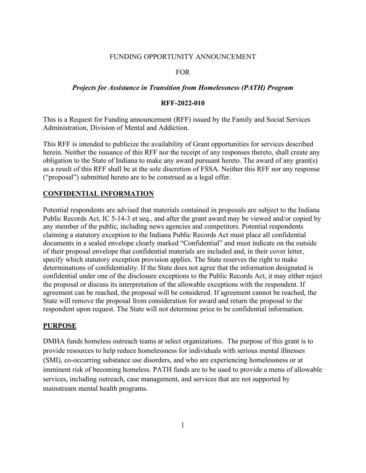#### FUNDING OPPORTUNITY ANNOUNCEMENT

#### FOR

#### *Projects for Assistance in Transition from Homelessness (PATH) Program*

#### **RFF-2022-010**

This is a Request for Funding announcement (RFF) issued by the Family and Social Services Administration, Division of Mental and Addiction.

This RFF is intended to publicize the availability of Grant opportunities for services described herein. Neither the issuance of this RFF nor the receipt of any responses thereto, shall create any obligation to the State of Indiana to make any award pursuant hereto. The award of any grant(s) as a result of this RFF shall be at the sole discretion of FSSA. Neither this RFF nor any response ("proposal") submitted hereto are to be construed as a legal offer.

#### **CONFIDENTIAL INFORMATION**

Potential respondents are advised that materials contained in proposals are subject to the Indiana Public Records Act, IC 5-14-3 et seq., and after the grant award may be viewed and/or copied by any member of the public, including news agencies and competitors. Potential respondents claiming a statutory exception to the Indiana Public Records Act must place all confidential documents in a sealed envelope clearly marked "Confidential" and must indicate on the outside of their proposal envelope that confidential materials are included and, in their cover letter, specify which statutory exception provision applies. The State reserves the right to make determinations of confidentiality. If the State does not agree that the information designated is confidential under one of the disclosure exceptions to the Public Records Act, it may either reject the proposal or discuss its interpretation of the allowable exceptions with the respondent. If agreement can be reached, the proposal will be considered. If agreement cannot be reached, the State will remove the proposal from consideration for award and return the proposal to the respondent upon request. The State will not determine price to be confidential information.

### **PURPOSE**

DMHA funds homeless outreach teams at select organizations. The purpose of this grant is to provide resources to help reduce homelessness for individuals with serious mental illnesses (SMI), co-occurring substance use disorders, and who are experiencing homelessness or at imminent risk of becoming homeless. PATH funds are to be used to provide a menu of allowable services, including outreach, case management, and services that are not supported by mainstream mental health programs.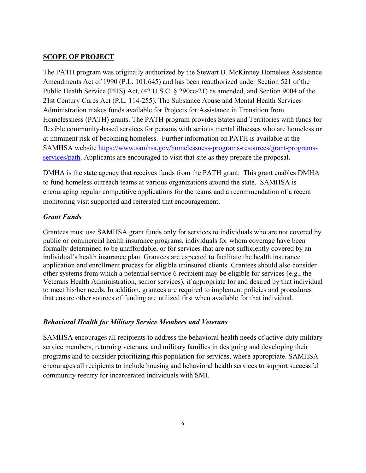### **SCOPE OF PROJECT**

The PATH program was originally authorized by the Stewart B. McKinney Homeless Assistance Amendments Act of 1990 (P.L. 101.645) and has been reauthorized under Section 521 of the Public Health Service (PHS) Act, (42 U.S.C. § 290cc-21) as amended, and Section 9004 of the 21st Century Cures Act (P.L. 114-255). The Substance Abuse and Mental Health Services Administration makes funds available for Projects for Assistance in Transition from Homelessness (PATH) grants. The PATH program provides States and Territories with funds for flexible community-based services for persons with serious mental illnesses who are homeless or at imminent risk of becoming homeless. Further information on PATH is available at the SAMHSA website [https://www.samhsa.gov/homelessness-programs-resources/grant-programs](https://www.samhsa.gov/homelessness-programs-resources/grant-programs-services/path)[services/path.](https://www.samhsa.gov/homelessness-programs-resources/grant-programs-services/path) Applicants are encouraged to visit that site as they prepare the proposal.

DMHA is the state agency that receives funds from the PATH grant. This grant enables DMHA to fund homeless outreach teams at various organizations around the state. SAMHSA is encouraging regular competitive applications for the teams and a recommendation of a recent monitoring visit supported and reiterated that encouragement.

## *Grant Funds*

Grantees must use SAMHSA grant funds only for services to individuals who are not covered by public or commercial health insurance programs, individuals for whom coverage have been formally determined to be unaffordable, or for services that are not sufficiently covered by an individual's health insurance plan. Grantees are expected to facilitate the health insurance application and enrollment process for eligible uninsured clients. Grantees should also consider other systems from which a potential service 6 recipient may be eligible for services (e.g., the Veterans Health Administration, senior services), if appropriate for and desired by that individual to meet his/her needs. In addition, grantees are required to implement policies and procedures that ensure other sources of funding are utilized first when available for that individual.

### *Behavioral Health for Military Service Members and Veterans*

SAMHSA encourages all recipients to address the behavioral health needs of active-duty military service members, returning veterans, and military families in designing and developing their programs and to consider prioritizing this population for services, where appropriate. SAMHSA encourages all recipients to include housing and behavioral health services to support successful community reentry for incarcerated individuals with SMI.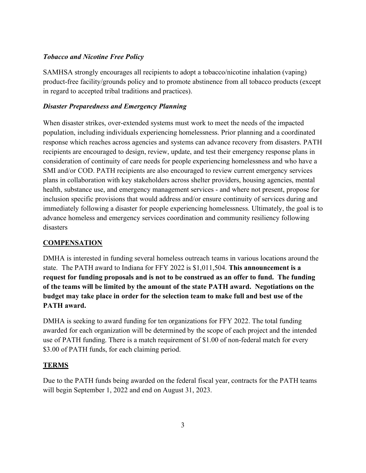## *Tobacco and Nicotine Free Policy*

SAMHSA strongly encourages all recipients to adopt a tobacco/nicotine inhalation (vaping) product-free facility/grounds policy and to promote abstinence from all tobacco products (except in regard to accepted tribal traditions and practices).

## *Disaster Preparedness and Emergency Planning*

When disaster strikes, over-extended systems must work to meet the needs of the impacted population, including individuals experiencing homelessness. Prior planning and a coordinated response which reaches across agencies and systems can advance recovery from disasters. PATH recipients are encouraged to design, review, update, and test their emergency response plans in consideration of continuity of care needs for people experiencing homelessness and who have a SMI and/or COD. PATH recipients are also encouraged to review current emergency services plans in collaboration with key stakeholders across shelter providers, housing agencies, mental health, substance use, and emergency management services - and where not present, propose for inclusion specific provisions that would address and/or ensure continuity of services during and immediately following a disaster for people experiencing homelessness. Ultimately, the goal is to advance homeless and emergency services coordination and community resiliency following disasters

# **COMPENSATION**

DMHA is interested in funding several homeless outreach teams in various locations around the state. The PATH award to Indiana for FFY 2022 is \$1,011,504. **This announcement is a request for funding proposals and is not to be construed as an offer to fund. The funding of the teams will be limited by the amount of the state PATH award. Negotiations on the budget may take place in order for the selection team to make full and best use of the PATH award.** 

DMHA is seeking to award funding for ten organizations for FFY 2022. The total funding awarded for each organization will be determined by the scope of each project and the intended use of PATH funding. There is a match requirement of \$1.00 of non-federal match for every \$3.00 of PATH funds, for each claiming period.

## **TERMS**

Due to the PATH funds being awarded on the federal fiscal year, contracts for the PATH teams will begin September 1, 2022 and end on August 31, 2023.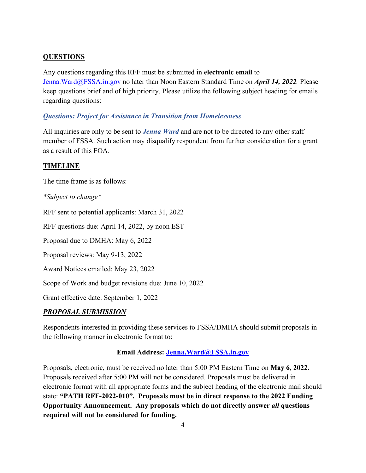# **QUESTIONS**

Any questions regarding this RFF must be submitted in **electronic email** to [Jenna.Ward@FSSA.in.gov](mailto:Jenna.Ward@FSSA.in.gov) no later than Noon Eastern Standard Time on *April 14, 2022.* Please keep questions brief and of high priority. Please utilize the following subject heading for emails regarding questions:

# *Questions: Project for Assistance in Transition from Homelessness*

All inquiries are only to be sent to *Jenna Ward* and are not to be directed to any other staff member of FSSA. Such action may disqualify respondent from further consideration for a grant as a result of this FOA.

## **TIMELINE**

The time frame is as follows:

*\*Subject to change\**

RFF sent to potential applicants: March 31, 2022

RFF questions due: April 14, 2022, by noon EST

Proposal due to DMHA: May 6, 2022

Proposal reviews: May 9-13, 2022

Award Notices emailed: May 23, 2022

Scope of Work and budget revisions due: June 10, 2022

Grant effective date: September 1, 2022

## *PROPOSAL SUBMISSION*

Respondents interested in providing these services to FSSA/DMHA should submit proposals in the following manner in electronic format to:

## **Email Address: [Jenna.Ward@FSSA.in.gov](mailto:Jenna.Ward@FSSA.in.gov)**

Proposals, electronic, must be received no later than 5:00 PM Eastern Time on **May 6, 2022.** Proposals received after 5:00 PM will not be considered. Proposals must be delivered in electronic format with all appropriate forms and the subject heading of the electronic mail should state: **"PATH RFF-2022-010". Proposals must be in direct response to the 2022 Funding Opportunity Announcement. Any proposals which do not directly answer** *all* **questions required will not be considered for funding.**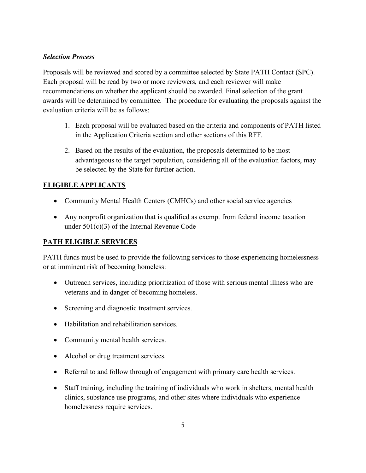## *Selection Process*

Proposals will be reviewed and scored by a committee selected by State PATH Contact (SPC). Each proposal will be read by two or more reviewers, and each reviewer will make recommendations on whether the applicant should be awarded. Final selection of the grant awards will be determined by committee. The procedure for evaluating the proposals against the evaluation criteria will be as follows:

- 1. Each proposal will be evaluated based on the criteria and components of PATH listed in the Application Criteria section and other sections of this RFF.
- 2. Based on the results of the evaluation, the proposals determined to be most advantageous to the target population, considering all of the evaluation factors, may be selected by the State for further action.

# **ELIGIBLE APPLICANTS**

- Community Mental Health Centers (CMHCs) and other social service agencies
- Any nonprofit organization that is qualified as exempt from federal income taxation under 501(c)(3) of the Internal Revenue Code

# **PATH ELIGIBLE SERVICES**

PATH funds must be used to provide the following services to those experiencing homelessness or at imminent risk of becoming homeless:

- Outreach services, including prioritization of those with serious mental illness who are veterans and in danger of becoming homeless.
- Screening and diagnostic treatment services.
- Habilitation and rehabilitation services.
- Community mental health services.
- Alcohol or drug treatment services.
- Referral to and follow through of engagement with primary care health services.
- Staff training, including the training of individuals who work in shelters, mental health clinics, substance use programs, and other sites where individuals who experience homelessness require services.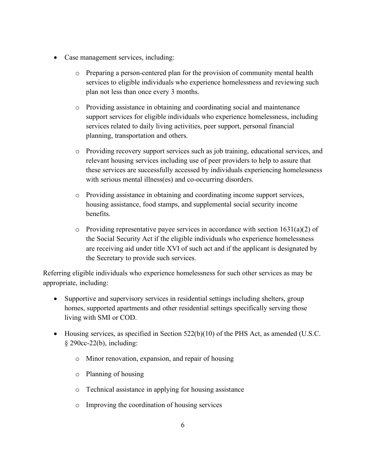- Case management services, including:
	- o Preparing a person-centered plan for the provision of community mental health services to eligible individuals who experience homelessness and reviewing such plan not less than once every 3 months.
	- o Providing assistance in obtaining and coordinating social and maintenance support services for eligible individuals who experience homelessness, including services related to daily living activities, peer support, personal financial planning, transportation and others.
	- o Providing recovery support services such as job training, educational services, and relevant housing services including use of peer providers to help to assure that these services are successfully accessed by individuals experiencing homelessness with serious mental illness(es) and co-occurring disorders.
	- o Providing assistance in obtaining and coordinating income support services, housing assistance, food stamps, and supplemental social security income benefits.
	- $\circ$  Providing representative payee services in accordance with section 1631(a)(2) of the Social Security Act if the eligible individuals who experience homelessness are receiving aid under title XVI of such act and if the applicant is designated by the Secretary to provide such services.

Referring eligible individuals who experience homelessness for such other services as may be appropriate, including:

- Supportive and supervisory services in residential settings including shelters, group homes, supported apartments and other residential settings specifically serving those living with SMI or COD.
- Housing services, as specified in Section 522(b)(10) of the PHS Act, as amended (U.S.C. § 290cc-22(b), including:
	- o Minor renovation, expansion, and repair of housing
	- o Planning of housing
	- o Technical assistance in applying for housing assistance
	- o Improving the coordination of housing services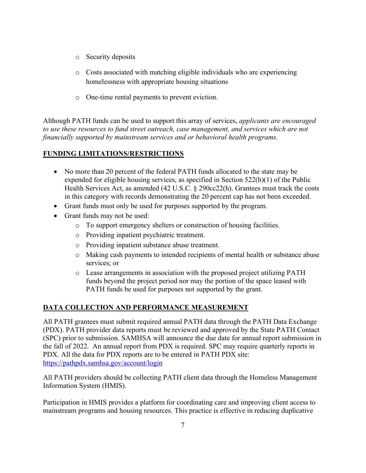- o Security deposits
- o Costs associated with matching eligible individuals who are experiencing homelessness with appropriate housing situations
- o One-time rental payments to prevent eviction.

Although PATH funds can be used to support this array of services, *applicants are encouraged to use these resources to fund street outreach, case management, and services which are not financially supported by mainstream services and or behavioral health programs.* 

# **FUNDING LIMITATIONS/RESTRICTIONS**

- No more than 20 percent of the federal PATH funds allocated to the state may be expended for eligible housing services, as specified in Section 522(h)(1) of the Public Health Services Act, as amended (42 U.S.C. § 290cc22(h). Grantees must track the costs in this category with records demonstrating the 20 percent cap has not been exceeded.
- Grant funds must only be used for purposes supported by the program.
- Grant funds may not be used:
	- o To support emergency shelters or construction of housing facilities.
	- o Providing inpatient psychiatric treatment.
	- o Providing inpatient substance abuse treatment.
	- o Making cash payments to intended recipients of mental health or substance abuse services; or
	- o Lease arrangements in association with the proposed project utilizing PATH funds beyond the project period nor may the portion of the space leased with PATH funds be used for purposes not supported by the grant.

# **DATA COLLECTION AND PERFORMANCE MEASUREMENT**

All PATH grantees must submit required annual PATH data through the PATH Data Exchange (PDX). PATH provider data reports must be reviewed and approved by the State PATH Contact (SPC) prior to submission. SAMHSA will announce the due date for annual report submission in the fall of 2022. An annual report from PDX is required. SPC may require quarterly reports in PDX. All the data for PDX reports are to be entered in PATH PDX site: <https://pathpdx.samhsa.gov/account/login>

All PATH providers should be collecting PATH client data through the Homeless Management Information System (HMIS).

Participation in HMIS provides a platform for coordinating care and improving client access to mainstream programs and housing resources. This practice is effective in reducing duplicative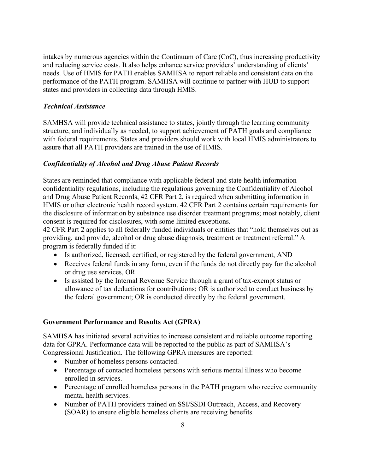intakes by numerous agencies within the Continuum of Care (CoC), thus increasing productivity and reducing service costs. It also helps enhance service providers' understanding of clients' needs. Use of HMIS for PATH enables SAMHSA to report reliable and consistent data on the performance of the PATH program. SAMHSA will continue to partner with HUD to support states and providers in collecting data through HMIS.

### *Technical Assistance*

SAMHSA will provide technical assistance to states, jointly through the learning community structure, and individually as needed, to support achievement of PATH goals and compliance with federal requirements. States and providers should work with local HMIS administrators to assure that all PATH providers are trained in the use of HMIS.

### *Confidentiality of Alcohol and Drug Abuse Patient Records*

States are reminded that compliance with applicable federal and state health information confidentiality regulations, including the regulations governing the Confidentiality of Alcohol and Drug Abuse Patient Records, 42 CFR Part 2, is required when submitting information in HMIS or other electronic health record system. 42 CFR Part 2 contains certain requirements for the disclosure of information by substance use disorder treatment programs; most notably, client consent is required for disclosures, with some limited exceptions.

42 CFR Part 2 applies to all federally funded individuals or entities that "hold themselves out as providing, and provide, alcohol or drug abuse diagnosis, treatment or treatment referral." A program is federally funded if it:

- Is authorized, licensed, certified, or registered by the federal government, AND
- Receives federal funds in any form, even if the funds do not directly pay for the alcohol or drug use services, OR
- Is assisted by the Internal Revenue Service through a grant of tax-exempt status or allowance of tax deductions for contributions; OR is authorized to conduct business by the federal government; OR is conducted directly by the federal government.

### **Government Performance and Results Act (GPRA)**

SAMHSA has initiated several activities to increase consistent and reliable outcome reporting data for GPRA. Performance data will be reported to the public as part of SAMHSA's Congressional Justification. The following GPRA measures are reported:

- Number of homeless persons contacted.
- Percentage of contacted homeless persons with serious mental illness who become enrolled in services.
- Percentage of enrolled homeless persons in the PATH program who receive community mental health services.
- Number of PATH providers trained on SSI/SSDI Outreach, Access, and Recovery (SOAR) to ensure eligible homeless clients are receiving benefits.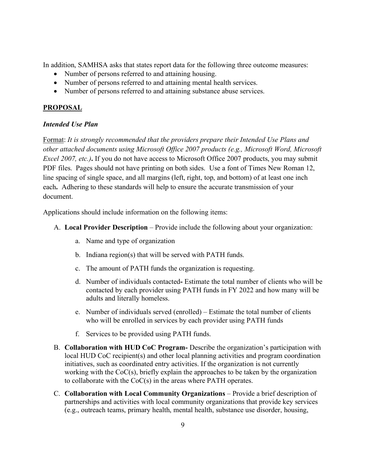In addition, SAMHSA asks that states report data for the following three outcome measures:

- Number of persons referred to and attaining housing.
- Number of persons referred to and attaining mental health services.
- Number of persons referred to and attaining substance abuse services.

## **PROPOSAL**

## *Intended Use Plan*

Format: *It is strongly recommended that the providers prepare their Intended Use Plans and other attached documents using Microsoft Office 2007 products (e.g., Microsoft Word, Microsoft Excel 2007, etc.*). If you do not have access to Microsoft Office 2007 products, you may submit PDF files. Pages should not have printing on both sides. Use a font of Times New Roman 12, line spacing of single space, and all margins (left, right, top, and bottom) of at least one inch each**.** Adhering to these standards will help to ensure the accurate transmission of your document.

Applications should include information on the following items:

- A. **Local Provider Description**  Provide include the following about your organization:
	- a. Name and type of organization
	- b. Indiana region(s) that will be served with PATH funds.
	- c. The amount of PATH funds the organization is requesting.
	- d. Number of individuals contactedEstimate the total number of clients who will be contacted by each provider using PATH funds in FY 2022 and how many will be adults and literally homeless.
	- e. Number of individuals served (enrolled) Estimate the total number of clients who will be enrolled in services by each provider using PATH funds
	- f. Services to be provided using PATH funds.
- B. **Collaboration with HUD CoC Program-** Describe the organization's participation with local HUD CoC recipient(s) and other local planning activities and program coordination initiatives, such as coordinated entry activities. If the organization is not currently working with the CoC(s), briefly explain the approaches to be taken by the organization to collaborate with the CoC(s) in the areas where PATH operates.
- C. **Collaboration with Local Community Organizations** Provide a brief description of partnerships and activities with local community organizations that provide key services (e.g., outreach teams, primary health, mental health, substance use disorder, housing,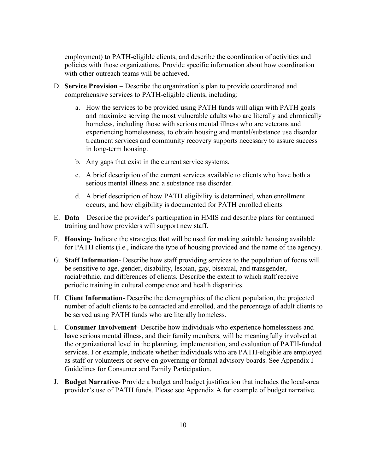employment) to PATH-eligible clients, and describe the coordination of activities and policies with those organizations. Provide specific information about how coordination with other outreach teams will be achieved.

- D. **Service Provision** Describe the organization's plan to provide coordinated and comprehensive services to PATH-eligible clients, including:
	- a. How the services to be provided using PATH funds will align with PATH goals and maximize serving the most vulnerable adults who are literally and chronically homeless, including those with serious mental illness who are veterans and experiencing homelessness, to obtain housing and mental/substance use disorder treatment services and community recovery supports necessary to assure success in long-term housing.
	- b. Any gaps that exist in the current service systems.
	- c. A brief description of the current services available to clients who have both a serious mental illness and a substance use disorder.
	- d. A brief description of how PATH eligibility is determined, when enrollment occurs, and how eligibility is documented for PATH enrolled clients
- E. **Data** Describe the provider's participation in HMIS and describe plans for continued training and how providers will support new staff.
- F. **Housing** Indicate the strategies that will be used for making suitable housing available for PATH clients (i.e., indicate the type of housing provided and the name of the agency).
- G. **Staff Information** Describe how staff providing services to the population of focus will be sensitive to age, gender, disability, lesbian, gay, bisexual, and transgender, racial/ethnic, and differences of clients. Describe the extent to which staff receive periodic training in cultural competence and health disparities.
- H. **Client Information** Describe the demographics of the client population, the projected number of adult clients to be contacted and enrolled, and the percentage of adult clients to be served using PATH funds who are literally homeless.
- I. **Consumer Involvement** Describe how individuals who experience homelessness and have serious mental illness, and their family members, will be meaningfully involved at the organizational level in the planning, implementation, and evaluation of PATH-funded services. For example, indicate whether individuals who are PATH-eligible are employed as staff or volunteers or serve on governing or formal advisory boards. See Appendix I – Guidelines for Consumer and Family Participation.
- J. **Budget Narrative** Provide a budget and budget justification that includes the local-area provider's use of PATH funds. Please see Appendix A for example of budget narrative.